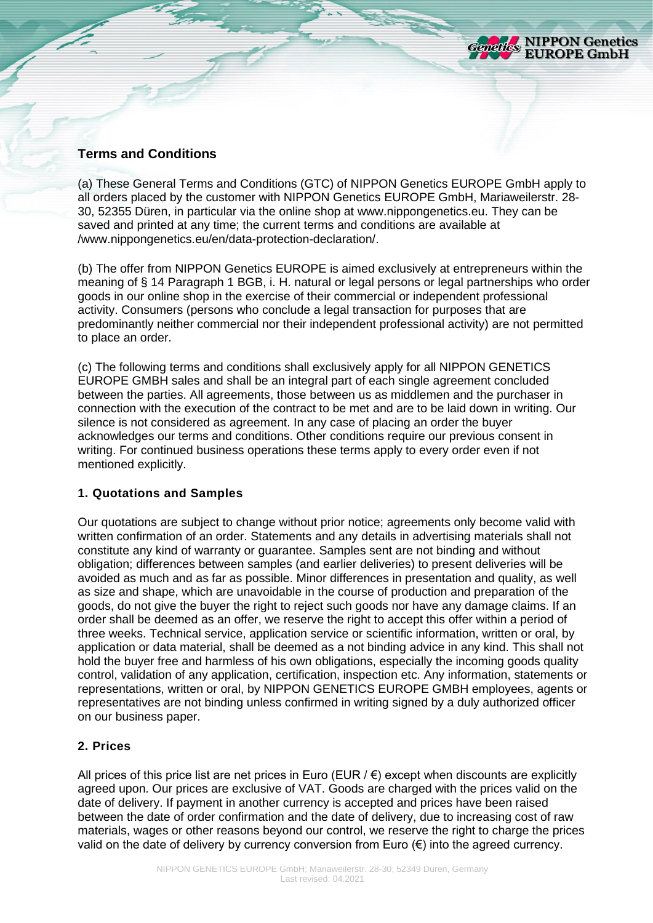

## **Terms and Conditions**

(a) These General Terms and Conditions (GTC) of NIPPON Genetics EUROPE GmbH apply to all orders placed by the customer with NIPPON Genetics EUROPE GmbH, Mariaweilerstr. 28- 30, 52355 Düren, in particular via the online shop at www.nippongenetics.eu. They can be saved and printed at any time; the current terms and conditions are available at /www.nippongenetics.eu/en/data-protection-declaration/.

(b) The offer from NIPPON Genetics EUROPE is aimed exclusively at entrepreneurs within the meaning of § 14 Paragraph 1 BGB, i. H. natural or legal persons or legal partnerships who order goods in our online shop in the exercise of their commercial or independent professional activity. Consumers (persons who conclude a legal transaction for purposes that are predominantly neither commercial nor their independent professional activity) are not permitted to place an order.

(c) The following terms and conditions shall exclusively apply for all NIPPON GENETICS EUROPE GMBH sales and shall be an integral part of each single agreement concluded between the parties. All agreements, those between us as middlemen and the purchaser in connection with the execution of the contract to be met and are to be laid down in writing. Our silence is not considered as agreement. In any case of placing an order the buyer acknowledges our terms and conditions. Other conditions require our previous consent in writing. For continued business operations these terms apply to every order even if not mentioned explicitly.

#### **1. Quotations and Samples**

Our quotations are subject to change without prior notice; agreements only become valid with written confirmation of an order. Statements and any details in advertising materials shall not constitute any kind of warranty or guarantee. Samples sent are not binding and without obligation; differences between samples (and earlier deliveries) to present deliveries will be avoided as much and as far as possible. Minor differences in presentation and quality, as well as size and shape, which are unavoidable in the course of production and preparation of the goods, do not give the buyer the right to reject such goods nor have any damage claims. If an order shall be deemed as an offer, we reserve the right to accept this offer within a period of three weeks. Technical service, application service or scientific information, written or oral, by application or data material, shall be deemed as a not binding advice in any kind. This shall not hold the buyer free and harmless of his own obligations, especially the incoming goods quality control, validation of any application, certification, inspection etc. Any information, statements or representations, written or oral, by NIPPON GENETICS EUROPE GMBH employees, agents or representatives are not binding unless confirmed in writing signed by a duly authorized officer on our business paper.

#### **2. Prices**

All prices of this price list are net prices in Euro (EUR  $\ell \in \mathbb{R}$ ) except when discounts are explicitly agreed upon. Our prices are exclusive of VAT. Goods are charged with the prices valid on the date of delivery. If payment in another currency is accepted and prices have been raised between the date of order confirmation and the date of delivery, due to increasing cost of raw materials, wages or other reasons beyond our control, we reserve the right to charge the prices valid on the date of delivery by currency conversion from Euro (€) into the agreed currency.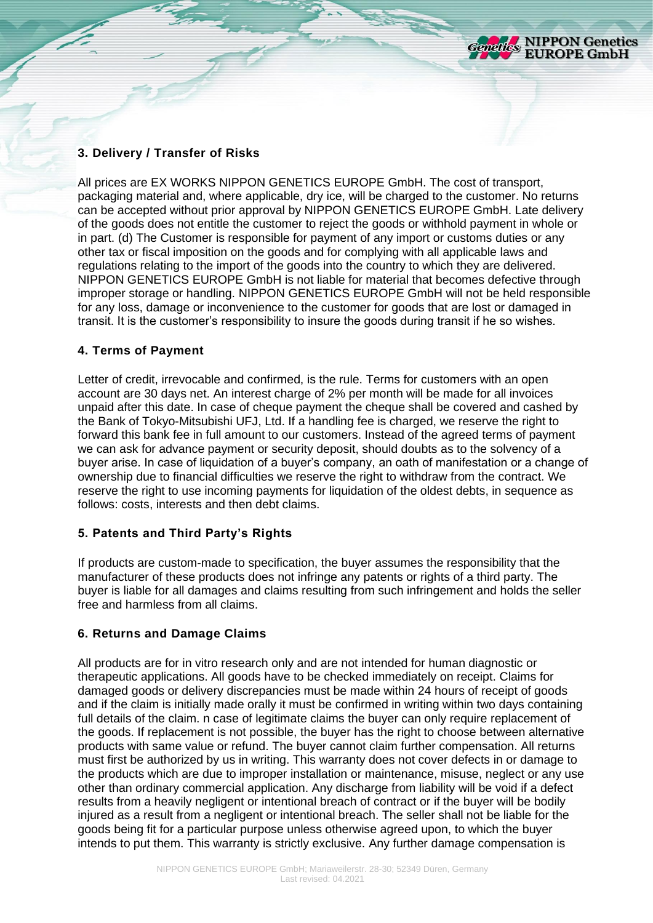

# **3. Delivery / Transfer of Risks**

All prices are EX WORKS NIPPON GENETICS EUROPE GmbH. The cost of transport, packaging material and, where applicable, dry ice, will be charged to the customer. No returns can be accepted without prior approval by NIPPON GENETICS EUROPE GmbH. Late delivery of the goods does not entitle the customer to reject the goods or withhold payment in whole or in part. (d) The Customer is responsible for payment of any import or customs duties or any other tax or fiscal imposition on the goods and for complying with all applicable laws and regulations relating to the import of the goods into the country to which they are delivered. NIPPON GENETICS EUROPE GmbH is not liable for material that becomes defective through improper storage or handling. NIPPON GENETICS EUROPE GmbH will not be held responsible for any loss, damage or inconvenience to the customer for goods that are lost or damaged in transit. It is the customer's responsibility to insure the goods during transit if he so wishes.

#### **4. Terms of Payment**

Letter of credit, irrevocable and confirmed, is the rule. Terms for customers with an open account are 30 days net. An interest charge of 2% per month will be made for all invoices unpaid after this date. In case of cheque payment the cheque shall be covered and cashed by the Bank of Tokyo-Mitsubishi UFJ, Ltd. If a handling fee is charged, we reserve the right to forward this bank fee in full amount to our customers. Instead of the agreed terms of payment we can ask for advance payment or security deposit, should doubts as to the solvency of a buyer arise. In case of liquidation of a buyer's company, an oath of manifestation or a change of ownership due to financial difficulties we reserve the right to withdraw from the contract. We reserve the right to use incoming payments for liquidation of the oldest debts, in sequence as follows: costs, interests and then debt claims.

#### **5. Patents and Third Party's Rights**

If products are custom-made to specification, the buyer assumes the responsibility that the manufacturer of these products does not infringe any patents or rights of a third party. The buyer is liable for all damages and claims resulting from such infringement and holds the seller free and harmless from all claims.

#### **6. Returns and Damage Claims**

All products are for in vitro research only and are not intended for human diagnostic or therapeutic applications. All goods have to be checked immediately on receipt. Claims for damaged goods or delivery discrepancies must be made within 24 hours of receipt of goods and if the claim is initially made orally it must be confirmed in writing within two days containing full details of the claim. n case of legitimate claims the buyer can only require replacement of the goods. If replacement is not possible, the buyer has the right to choose between alternative products with same value or refund. The buyer cannot claim further compensation. All returns must first be authorized by us in writing. This warranty does not cover defects in or damage to the products which are due to improper installation or maintenance, misuse, neglect or any use other than ordinary commercial application. Any discharge from liability will be void if a defect results from a heavily negligent or intentional breach of contract or if the buyer will be bodily injured as a result from a negligent or intentional breach. The seller shall not be liable for the goods being fit for a particular purpose unless otherwise agreed upon, to which the buyer intends to put them. This warranty is strictly exclusive. Any further damage compensation is